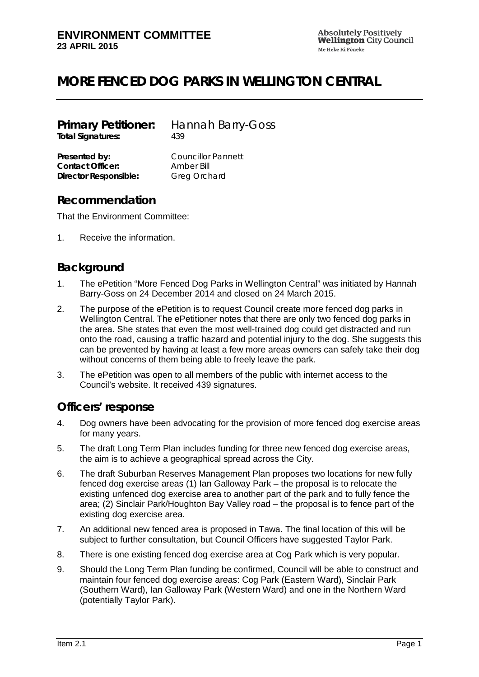# **MORE FENCED DOG PARKS IN WELLINGTON CENTRAL**

| <b>Primary Petitioner:</b><br><b>Total Signatures:</b> | <b>Hannah Barry-Goss</b><br>439 |
|--------------------------------------------------------|---------------------------------|
|                                                        |                                 |
| <b>Contact Officer:</b>                                | Amber Bill                      |
| <b>Director Responsible:</b>                           | <b>Greg Orchard</b>             |

#### **Recommendation**

That the Environment Committee:

1. Receive the information.

## **Background**

- 1. The ePetition "More Fenced Dog Parks in Wellington Central" was initiated by Hannah Barry-Goss on 24 December 2014 and closed on 24 March 2015.
- 2. The purpose of the ePetition is to request Council create more fenced dog parks in Wellington Central. The ePetitioner notes that there are only two fenced dog parks in the area. She states that even the most well-trained dog could get distracted and run onto the road, causing a traffic hazard and potential injury to the dog. She suggests this can be prevented by having at least a few more areas owners can safely take their dog without concerns of them being able to freely leave the park.
- 3. The ePetition was open to all members of the public with internet access to the Council's website. It received 439 signatures.

#### **Officers' response**

- 4. Dog owners have been advocating for the provision of more fenced dog exercise areas for many years.
- 5. The draft Long Term Plan includes funding for three new fenced dog exercise areas, the aim is to achieve a geographical spread across the City.
- 6. The draft Suburban Reserves Management Plan proposes two locations for new fully fenced dog exercise areas (1) Ian Galloway Park – the proposal is to relocate the existing unfenced dog exercise area to another part of the park and to fully fence the area; (2) Sinclair Park/Houghton Bay Valley road – the proposal is to fence part of the existing dog exercise area.
- 7. An additional new fenced area is proposed in Tawa. The final location of this will be subject to further consultation, but Council Officers have suggested Taylor Park.
- 8. There is one existing fenced dog exercise area at Cog Park which is very popular.
- 9. Should the Long Term Plan funding be confirmed, Council will be able to construct and maintain four fenced dog exercise areas: Cog Park (Eastern Ward), Sinclair Park (Southern Ward), Ian Galloway Park (Western Ward) and one in the Northern Ward (potentially Taylor Park).